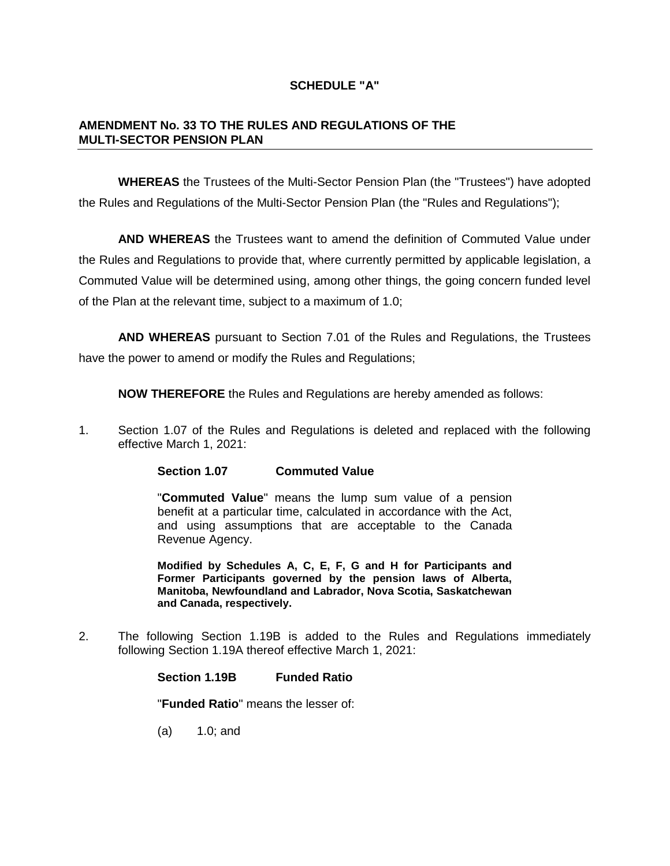# **SCHEDULE "A"**

## **AMENDMENT No. 33 TO THE RULES AND REGULATIONS OF THE MULTI-SECTOR PENSION PLAN**

**WHEREAS** the Trustees of the Multi-Sector Pension Plan (the "Trustees") have adopted the Rules and Regulations of the Multi-Sector Pension Plan (the "Rules and Regulations");

**AND WHEREAS** the Trustees want to amend the definition of Commuted Value under the Rules and Regulations to provide that, where currently permitted by applicable legislation, a Commuted Value will be determined using, among other things, the going concern funded level of the Plan at the relevant time, subject to a maximum of 1.0;

**AND WHEREAS** pursuant to Section 7.01 of the Rules and Regulations, the Trustees have the power to amend or modify the Rules and Regulations;

**NOW THEREFORE** the Rules and Regulations are hereby amended as follows:

1. Section 1.07 of the Rules and Regulations is deleted and replaced with the following effective March 1, 2021:

**Section 1.07 Commuted Value** 

"**Commuted Value**" means the lump sum value of a pension benefit at a particular time, calculated in accordance with the Act, and using assumptions that are acceptable to the Canada Revenue Agency.

**Modified by Schedules A, C, E, F, G and H for Participants and Former Participants governed by the pension laws of Alberta, Manitoba, Newfoundland and Labrador, Nova Scotia, Saskatchewan and Canada, respectively.** 

2. The following Section 1.19B is added to the Rules and Regulations immediately following Section 1.19A thereof effective March 1, 2021:

**Section 1.19B Funded Ratio**

"**Funded Ratio**" means the lesser of:

(a) 1.0; and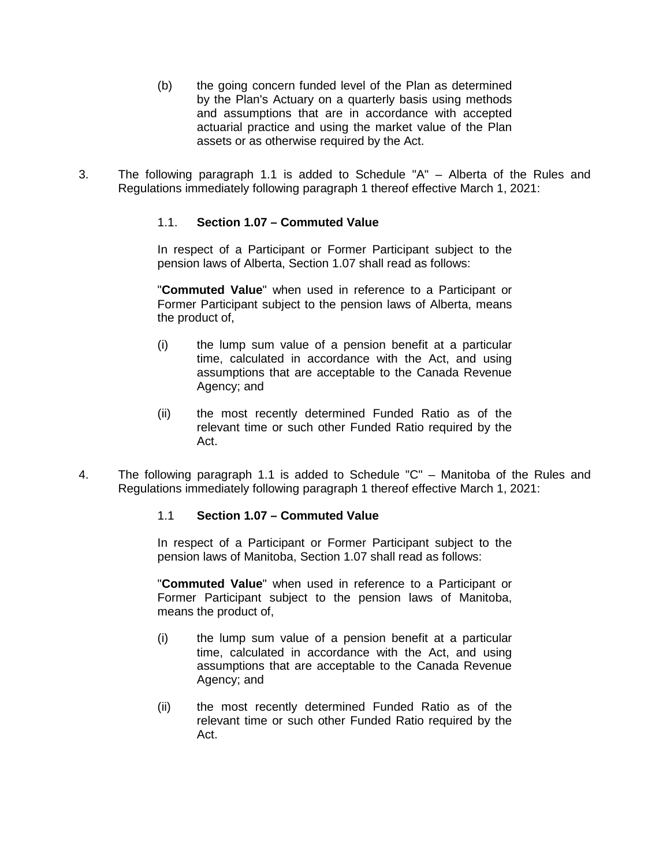- (b) the going concern funded level of the Plan as determined by the Plan's Actuary on a quarterly basis using methods and assumptions that are in accordance with accepted actuarial practice and using the market value of the Plan assets or as otherwise required by the Act.
- 3. The following paragraph 1.1 is added to Schedule "A" Alberta of the Rules and Regulations immediately following paragraph 1 thereof effective March 1, 2021:

# 1.1. **Section 1.07 – Commuted Value**

In respect of a Participant or Former Participant subject to the pension laws of Alberta, Section 1.07 shall read as follows:

"**Commuted Value**" when used in reference to a Participant or Former Participant subject to the pension laws of Alberta, means the product of,

- (i) the lump sum value of a pension benefit at a particular time, calculated in accordance with the Act, and using assumptions that are acceptable to the Canada Revenue Agency; and
- (ii) the most recently determined Funded Ratio as of the relevant time or such other Funded Ratio required by the Act.
- 4. The following paragraph 1.1 is added to Schedule "C" Manitoba of the Rules and Regulations immediately following paragraph 1 thereof effective March 1, 2021:

# 1.1 **Section 1.07 – Commuted Value**

In respect of a Participant or Former Participant subject to the pension laws of Manitoba, Section 1.07 shall read as follows:

"**Commuted Value**" when used in reference to a Participant or Former Participant subject to the pension laws of Manitoba, means the product of,

- (i) the lump sum value of a pension benefit at a particular time, calculated in accordance with the Act, and using assumptions that are acceptable to the Canada Revenue Agency; and
- (ii) the most recently determined Funded Ratio as of the relevant time or such other Funded Ratio required by the Act.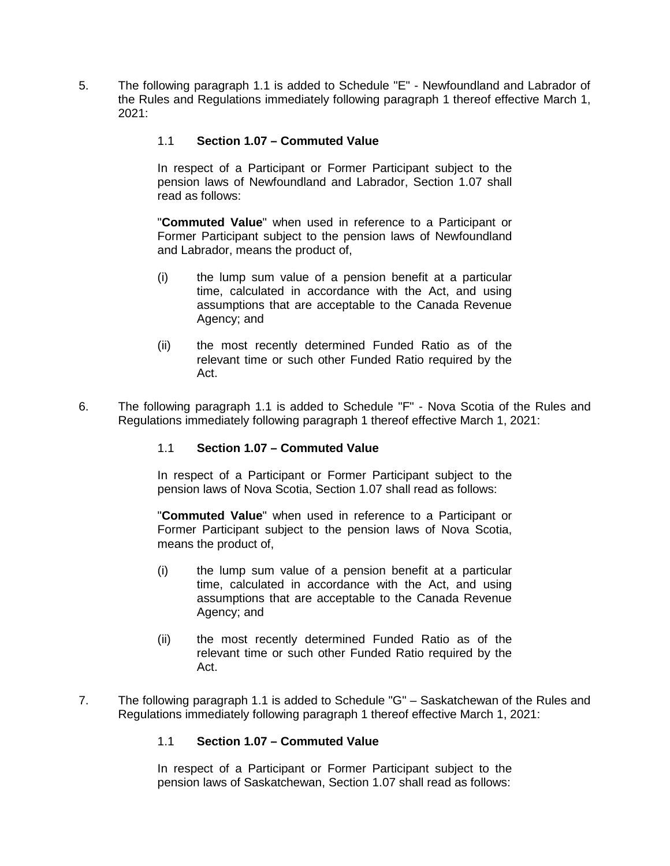5. The following paragraph 1.1 is added to Schedule "E" - Newfoundland and Labrador of the Rules and Regulations immediately following paragraph 1 thereof effective March 1,  $2021$ 

# 1.1 **Section 1.07 – Commuted Value**

In respect of a Participant or Former Participant subject to the pension laws of Newfoundland and Labrador, Section 1.07 shall read as follows:

"**Commuted Value**" when used in reference to a Participant or Former Participant subject to the pension laws of Newfoundland and Labrador, means the product of,

- (i) the lump sum value of a pension benefit at a particular time, calculated in accordance with the Act, and using assumptions that are acceptable to the Canada Revenue Agency; and
- (ii) the most recently determined Funded Ratio as of the relevant time or such other Funded Ratio required by the Act.
- 6. The following paragraph 1.1 is added to Schedule "F" Nova Scotia of the Rules and Regulations immediately following paragraph 1 thereof effective March 1, 2021:

# 1.1 **Section 1.07 – Commuted Value**

In respect of a Participant or Former Participant subject to the pension laws of Nova Scotia, Section 1.07 shall read as follows:

"**Commuted Value**" when used in reference to a Participant or Former Participant subject to the pension laws of Nova Scotia, means the product of,

- (i) the lump sum value of a pension benefit at a particular time, calculated in accordance with the Act, and using assumptions that are acceptable to the Canada Revenue Agency; and
- (ii) the most recently determined Funded Ratio as of the relevant time or such other Funded Ratio required by the Act.
- 7. The following paragraph 1.1 is added to Schedule "G" Saskatchewan of the Rules and Regulations immediately following paragraph 1 thereof effective March 1, 2021:

# 1.1 **Section 1.07 – Commuted Value**

In respect of a Participant or Former Participant subject to the pension laws of Saskatchewan, Section 1.07 shall read as follows: